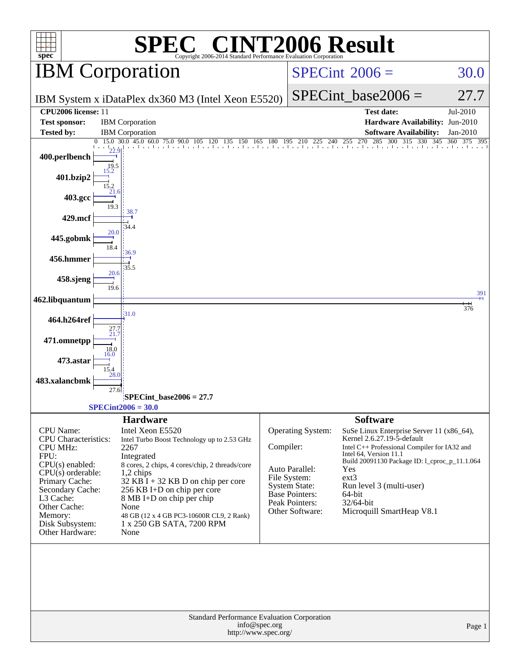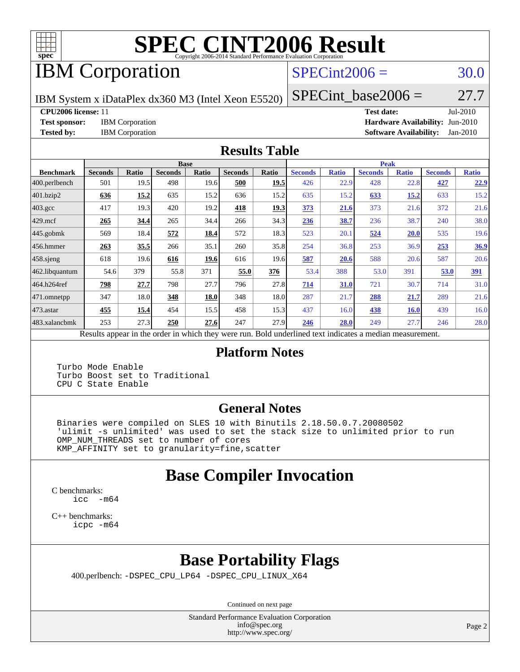

# **[SPEC CINT2006 Result](http://www.spec.org/auto/cpu2006/Docs/result-fields.html#SPECCINT2006Result)**

# IBM Corporation

### $SPECint2006 = 30.0$  $SPECint2006 = 30.0$

IBM System x iDataPlex dx360 M3 (Intel Xeon E5520)

**[CPU2006 license:](http://www.spec.org/auto/cpu2006/Docs/result-fields.html#CPU2006license)** 11 **[Test date:](http://www.spec.org/auto/cpu2006/Docs/result-fields.html#Testdate)** Jul-2010

 $SPECTnt\_base2006 = 27.7$ 

**[Test sponsor:](http://www.spec.org/auto/cpu2006/Docs/result-fields.html#Testsponsor)** IBM Corporation **[Hardware Availability:](http://www.spec.org/auto/cpu2006/Docs/result-fields.html#HardwareAvailability)** Jun-2010 **[Tested by:](http://www.spec.org/auto/cpu2006/Docs/result-fields.html#Testedby)** IBM Corporation **[Software Availability:](http://www.spec.org/auto/cpu2006/Docs/result-fields.html#SoftwareAvailability)** Jan-2010

#### **[Results Table](http://www.spec.org/auto/cpu2006/Docs/result-fields.html#ResultsTable)**

|                         | <b>Base</b>                                                                                              |       |                |       |                |             | <b>Peak</b>    |              |                |              |                |              |  |
|-------------------------|----------------------------------------------------------------------------------------------------------|-------|----------------|-------|----------------|-------------|----------------|--------------|----------------|--------------|----------------|--------------|--|
| <b>Benchmark</b>        | <b>Seconds</b>                                                                                           | Ratio | <b>Seconds</b> | Ratio | <b>Seconds</b> | Ratio       | <b>Seconds</b> | <b>Ratio</b> | <b>Seconds</b> | <b>Ratio</b> | <b>Seconds</b> | <b>Ratio</b> |  |
| $ 400.\text{perlbench}$ | 501                                                                                                      | 19.5  | 498            | 19.6  | 500            | <u>19.5</u> | 426            | 22.9         | 428            | 22.8         | 427            | 22.9         |  |
| 401.bzip2               | 636                                                                                                      | 15.2  | 635            | 15.2  | 636            | 15.2        | 635            | 15.2         | 633            | 15.2         | 633            | 15.2         |  |
| $403.\text{gcc}$        | 417                                                                                                      | 19.3  | 420            | 19.2  | 418            | <u>19.3</u> | 373            | 21.6         | 373            | 21.6         | 372            | 21.6         |  |
| $429$ mcf               | 265                                                                                                      | 34.4  | 265            | 34.4  | 266            | 34.3        | 236            | 38.7         | 236            | 38.7         | 240            | 38.0         |  |
| $445$ .gobmk            | 569                                                                                                      | 18.4  | 572            | 18.4  | 572            | 18.3        | 523            | 20.1         | 524            | 20.0         | 535            | 19.6         |  |
| $456.$ hmmer            | 263                                                                                                      | 35.5  | 266            | 35.1  | 260            | 35.8        | 254            | 36.8         | 253            | 36.9         | 253            | 36.9         |  |
| 458 sjeng               | 618                                                                                                      | 19.6  | 616            | 19.6  | 616            | 19.6        | 587            | 20.6         | 588            | 20.6         | 587            | 20.6         |  |
| 462.libquantum          | 54.6                                                                                                     | 379   | 55.8           | 371   | 55.0           | 376         | 53.4           | 388          | 53.0           | 391          | 53.0           | 391          |  |
| 464.h264ref             | 798                                                                                                      | 27.7  | 798            | 27.7  | 796            | 27.8        | 714            | 31.0         | 721            | 30.7         | 714            | 31.0         |  |
| 471.omnetpp             | 347                                                                                                      | 18.0  | 348            | 18.0  | 348            | 18.0        | 287            | 21.7         | 288            | 21.7         | 289            | 21.6         |  |
| $473$ . astar           | 455                                                                                                      | 15.4  | 454            | 15.5  | 458            | 15.3        | 437            | 16.0         | 438            | <b>16.0</b>  | 439            | 16.0         |  |
| 483.xalancbmk           | 253                                                                                                      | 27.3  | 250            | 27.6  | 247            | 27.9        | 246            | 28.0         | 249            | 27.7         | 246            | 28.0         |  |
|                         | Results appear in the order in which they were run. Bold underlined text indicates a median measurement. |       |                |       |                |             |                |              |                |              |                |              |  |

#### **[Platform Notes](http://www.spec.org/auto/cpu2006/Docs/result-fields.html#PlatformNotes)**

 Turbo Mode Enable Turbo Boost set to Traditional CPU C State Enable

#### **[General Notes](http://www.spec.org/auto/cpu2006/Docs/result-fields.html#GeneralNotes)**

 Binaries were compiled on SLES 10 with Binutils 2.18.50.0.7.20080502 'ulimit -s unlimited' was used to set the stack size to unlimited prior to run OMP\_NUM\_THREADS set to number of cores KMP\_AFFINITY set to granularity=fine,scatter

# **[Base Compiler Invocation](http://www.spec.org/auto/cpu2006/Docs/result-fields.html#BaseCompilerInvocation)**

[C benchmarks](http://www.spec.org/auto/cpu2006/Docs/result-fields.html#Cbenchmarks): [icc -m64](http://www.spec.org/cpu2006/results/res2010q3/cpu2006-20100719-12473.flags.html#user_CCbase_intel_icc_64bit_f346026e86af2a669e726fe758c88044)

[C++ benchmarks:](http://www.spec.org/auto/cpu2006/Docs/result-fields.html#CXXbenchmarks) [icpc -m64](http://www.spec.org/cpu2006/results/res2010q3/cpu2006-20100719-12473.flags.html#user_CXXbase_intel_icpc_64bit_fc66a5337ce925472a5c54ad6a0de310)

# **[Base Portability Flags](http://www.spec.org/auto/cpu2006/Docs/result-fields.html#BasePortabilityFlags)**

400.perlbench: [-DSPEC\\_CPU\\_LP64](http://www.spec.org/cpu2006/results/res2010q3/cpu2006-20100719-12473.flags.html#b400.perlbench_basePORTABILITY_DSPEC_CPU_LP64) [-DSPEC\\_CPU\\_LINUX\\_X64](http://www.spec.org/cpu2006/results/res2010q3/cpu2006-20100719-12473.flags.html#b400.perlbench_baseCPORTABILITY_DSPEC_CPU_LINUX_X64)

Continued on next page

Standard Performance Evaluation Corporation [info@spec.org](mailto:info@spec.org) <http://www.spec.org/>

Page 2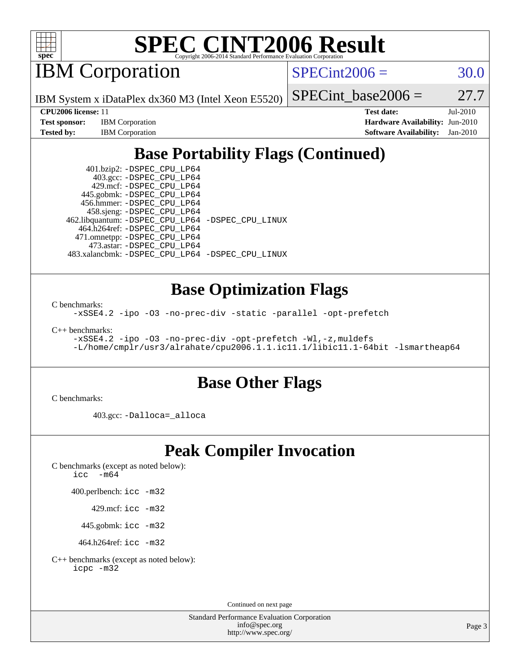

# **[SPEC CINT2006 Result](http://www.spec.org/auto/cpu2006/Docs/result-fields.html#SPECCINT2006Result)**

IBM Corporation

 $SPECint2006 = 30.0$  $SPECint2006 = 30.0$ 

IBM System x iDataPlex dx360 M3 (Intel Xeon E5520)

| <b>Test sponsor:</b> | <b>IBM</b> Corporation |
|----------------------|------------------------|
| Tested bv:           | <b>IBM</b> Corporation |

SPECint base2006 =  $27.7$ 

**[CPU2006 license:](http://www.spec.org/auto/cpu2006/Docs/result-fields.html#CPU2006license)** 11 **[Test date:](http://www.spec.org/auto/cpu2006/Docs/result-fields.html#Testdate)** Jul-2010 **[Hardware Availability:](http://www.spec.org/auto/cpu2006/Docs/result-fields.html#HardwareAvailability)** Jun-2010 **[Software Availability:](http://www.spec.org/auto/cpu2006/Docs/result-fields.html#SoftwareAvailability)** Jan-2010

# **[Base Portability Flags \(Continued\)](http://www.spec.org/auto/cpu2006/Docs/result-fields.html#BasePortabilityFlags)**

 401.bzip2: [-DSPEC\\_CPU\\_LP64](http://www.spec.org/cpu2006/results/res2010q3/cpu2006-20100719-12473.flags.html#suite_basePORTABILITY401_bzip2_DSPEC_CPU_LP64) 403.gcc: [-DSPEC\\_CPU\\_LP64](http://www.spec.org/cpu2006/results/res2010q3/cpu2006-20100719-12473.flags.html#suite_basePORTABILITY403_gcc_DSPEC_CPU_LP64) 429.mcf: [-DSPEC\\_CPU\\_LP64](http://www.spec.org/cpu2006/results/res2010q3/cpu2006-20100719-12473.flags.html#suite_basePORTABILITY429_mcf_DSPEC_CPU_LP64) 445.gobmk: [-DSPEC\\_CPU\\_LP64](http://www.spec.org/cpu2006/results/res2010q3/cpu2006-20100719-12473.flags.html#suite_basePORTABILITY445_gobmk_DSPEC_CPU_LP64) 456.hmmer: [-DSPEC\\_CPU\\_LP64](http://www.spec.org/cpu2006/results/res2010q3/cpu2006-20100719-12473.flags.html#suite_basePORTABILITY456_hmmer_DSPEC_CPU_LP64) 458.sjeng: [-DSPEC\\_CPU\\_LP64](http://www.spec.org/cpu2006/results/res2010q3/cpu2006-20100719-12473.flags.html#suite_basePORTABILITY458_sjeng_DSPEC_CPU_LP64) 462.libquantum: [-DSPEC\\_CPU\\_LP64](http://www.spec.org/cpu2006/results/res2010q3/cpu2006-20100719-12473.flags.html#suite_basePORTABILITY462_libquantum_DSPEC_CPU_LP64) [-DSPEC\\_CPU\\_LINUX](http://www.spec.org/cpu2006/results/res2010q3/cpu2006-20100719-12473.flags.html#b462.libquantum_baseCPORTABILITY_DSPEC_CPU_LINUX) 464.h264ref: [-DSPEC\\_CPU\\_LP64](http://www.spec.org/cpu2006/results/res2010q3/cpu2006-20100719-12473.flags.html#suite_basePORTABILITY464_h264ref_DSPEC_CPU_LP64) 471.omnetpp: [-DSPEC\\_CPU\\_LP64](http://www.spec.org/cpu2006/results/res2010q3/cpu2006-20100719-12473.flags.html#suite_basePORTABILITY471_omnetpp_DSPEC_CPU_LP64) 473.astar: [-DSPEC\\_CPU\\_LP64](http://www.spec.org/cpu2006/results/res2010q3/cpu2006-20100719-12473.flags.html#suite_basePORTABILITY473_astar_DSPEC_CPU_LP64) 483.xalancbmk: [-DSPEC\\_CPU\\_LP64](http://www.spec.org/cpu2006/results/res2010q3/cpu2006-20100719-12473.flags.html#suite_basePORTABILITY483_xalancbmk_DSPEC_CPU_LP64) [-DSPEC\\_CPU\\_LINUX](http://www.spec.org/cpu2006/results/res2010q3/cpu2006-20100719-12473.flags.html#b483.xalancbmk_baseCXXPORTABILITY_DSPEC_CPU_LINUX)

## **[Base Optimization Flags](http://www.spec.org/auto/cpu2006/Docs/result-fields.html#BaseOptimizationFlags)**

[C benchmarks](http://www.spec.org/auto/cpu2006/Docs/result-fields.html#Cbenchmarks):

[-xSSE4.2](http://www.spec.org/cpu2006/results/res2010q3/cpu2006-20100719-12473.flags.html#user_CCbase_f-xSSE42_f91528193cf0b216347adb8b939d4107) [-ipo](http://www.spec.org/cpu2006/results/res2010q3/cpu2006-20100719-12473.flags.html#user_CCbase_f-ipo) [-O3](http://www.spec.org/cpu2006/results/res2010q3/cpu2006-20100719-12473.flags.html#user_CCbase_f-O3) [-no-prec-div](http://www.spec.org/cpu2006/results/res2010q3/cpu2006-20100719-12473.flags.html#user_CCbase_f-no-prec-div) [-static](http://www.spec.org/cpu2006/results/res2010q3/cpu2006-20100719-12473.flags.html#user_CCbase_f-static) [-parallel](http://www.spec.org/cpu2006/results/res2010q3/cpu2006-20100719-12473.flags.html#user_CCbase_f-parallel) [-opt-prefetch](http://www.spec.org/cpu2006/results/res2010q3/cpu2006-20100719-12473.flags.html#user_CCbase_f-opt-prefetch)

[C++ benchmarks:](http://www.spec.org/auto/cpu2006/Docs/result-fields.html#CXXbenchmarks)

```
-xSSE4.2 -ipo -O3 -no-prec-div -opt-prefetch -Wl,-z,muldefs
-L/home/cmplr/usr3/alrahate/cpu2006.1.1.ic11.1/libic11.1-64bit -lsmartheap64
```
## **[Base Other Flags](http://www.spec.org/auto/cpu2006/Docs/result-fields.html#BaseOtherFlags)**

[C benchmarks](http://www.spec.org/auto/cpu2006/Docs/result-fields.html#Cbenchmarks):

403.gcc: [-Dalloca=\\_alloca](http://www.spec.org/cpu2006/results/res2010q3/cpu2006-20100719-12473.flags.html#b403.gcc_baseEXTRA_CFLAGS_Dalloca_be3056838c12de2578596ca5467af7f3)

## **[Peak Compiler Invocation](http://www.spec.org/auto/cpu2006/Docs/result-fields.html#PeakCompilerInvocation)**

[C benchmarks \(except as noted below\)](http://www.spec.org/auto/cpu2006/Docs/result-fields.html#Cbenchmarksexceptasnotedbelow): [icc -m64](http://www.spec.org/cpu2006/results/res2010q3/cpu2006-20100719-12473.flags.html#user_CCpeak_intel_icc_64bit_f346026e86af2a669e726fe758c88044)

400.perlbench: [icc -m32](http://www.spec.org/cpu2006/results/res2010q3/cpu2006-20100719-12473.flags.html#user_peakCCLD400_perlbench_intel_icc_32bit_a6a621f8d50482236b970c6ac5f55f93)

429.mcf: [icc -m32](http://www.spec.org/cpu2006/results/res2010q3/cpu2006-20100719-12473.flags.html#user_peakCCLD429_mcf_intel_icc_32bit_a6a621f8d50482236b970c6ac5f55f93)

445.gobmk: [icc -m32](http://www.spec.org/cpu2006/results/res2010q3/cpu2006-20100719-12473.flags.html#user_peakCCLD445_gobmk_intel_icc_32bit_a6a621f8d50482236b970c6ac5f55f93)

464.h264ref: [icc -m32](http://www.spec.org/cpu2006/results/res2010q3/cpu2006-20100719-12473.flags.html#user_peakCCLD464_h264ref_intel_icc_32bit_a6a621f8d50482236b970c6ac5f55f93)

[C++ benchmarks \(except as noted below\):](http://www.spec.org/auto/cpu2006/Docs/result-fields.html#CXXbenchmarksexceptasnotedbelow) [icpc -m32](http://www.spec.org/cpu2006/results/res2010q3/cpu2006-20100719-12473.flags.html#user_CXXpeak_intel_icpc_32bit_4e5a5ef1a53fd332b3c49e69c3330699)

Continued on next page

Standard Performance Evaluation Corporation [info@spec.org](mailto:info@spec.org) <http://www.spec.org/>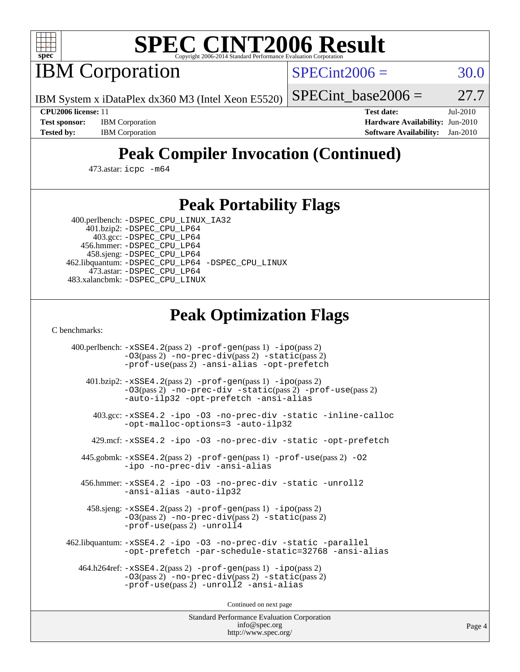

# **[SPEC CINT2006 Result](http://www.spec.org/auto/cpu2006/Docs/result-fields.html#SPECCINT2006Result)**

IBM Corporation

 $SPECint2006 = 30.0$  $SPECint2006 = 30.0$ 

IBM System x iDataPlex dx360 M3 (Intel Xeon E5520)

SPECint base2006 =  $27.7$ 

**[Test sponsor:](http://www.spec.org/auto/cpu2006/Docs/result-fields.html#Testsponsor)** IBM Corporation **[Hardware Availability:](http://www.spec.org/auto/cpu2006/Docs/result-fields.html#HardwareAvailability)** Jun-2010

**[CPU2006 license:](http://www.spec.org/auto/cpu2006/Docs/result-fields.html#CPU2006license)** 11 **[Test date:](http://www.spec.org/auto/cpu2006/Docs/result-fields.html#Testdate)** Jul-2010 **[Tested by:](http://www.spec.org/auto/cpu2006/Docs/result-fields.html#Testedby)** IBM Corporation **[Software Availability:](http://www.spec.org/auto/cpu2006/Docs/result-fields.html#SoftwareAvailability)** Jan-2010

# **[Peak Compiler Invocation \(Continued\)](http://www.spec.org/auto/cpu2006/Docs/result-fields.html#PeakCompilerInvocation)**

473.astar: [icpc -m64](http://www.spec.org/cpu2006/results/res2010q3/cpu2006-20100719-12473.flags.html#user_peakCXXLD473_astar_intel_icpc_64bit_fc66a5337ce925472a5c54ad6a0de310)

### **[Peak Portability Flags](http://www.spec.org/auto/cpu2006/Docs/result-fields.html#PeakPortabilityFlags)**

 400.perlbench: [-DSPEC\\_CPU\\_LINUX\\_IA32](http://www.spec.org/cpu2006/results/res2010q3/cpu2006-20100719-12473.flags.html#b400.perlbench_peakCPORTABILITY_DSPEC_CPU_LINUX_IA32) 401.bzip2: [-DSPEC\\_CPU\\_LP64](http://www.spec.org/cpu2006/results/res2010q3/cpu2006-20100719-12473.flags.html#suite_peakPORTABILITY401_bzip2_DSPEC_CPU_LP64)

 403.gcc: [-DSPEC\\_CPU\\_LP64](http://www.spec.org/cpu2006/results/res2010q3/cpu2006-20100719-12473.flags.html#suite_peakPORTABILITY403_gcc_DSPEC_CPU_LP64) 456.hmmer: [-DSPEC\\_CPU\\_LP64](http://www.spec.org/cpu2006/results/res2010q3/cpu2006-20100719-12473.flags.html#suite_peakPORTABILITY456_hmmer_DSPEC_CPU_LP64) 458.sjeng: [-DSPEC\\_CPU\\_LP64](http://www.spec.org/cpu2006/results/res2010q3/cpu2006-20100719-12473.flags.html#suite_peakPORTABILITY458_sjeng_DSPEC_CPU_LP64) 462.libquantum: [-DSPEC\\_CPU\\_LP64](http://www.spec.org/cpu2006/results/res2010q3/cpu2006-20100719-12473.flags.html#suite_peakPORTABILITY462_libquantum_DSPEC_CPU_LP64) [-DSPEC\\_CPU\\_LINUX](http://www.spec.org/cpu2006/results/res2010q3/cpu2006-20100719-12473.flags.html#b462.libquantum_peakCPORTABILITY_DSPEC_CPU_LINUX) 473.astar: [-DSPEC\\_CPU\\_LP64](http://www.spec.org/cpu2006/results/res2010q3/cpu2006-20100719-12473.flags.html#suite_peakPORTABILITY473_astar_DSPEC_CPU_LP64) 483.xalancbmk: [-DSPEC\\_CPU\\_LINUX](http://www.spec.org/cpu2006/results/res2010q3/cpu2006-20100719-12473.flags.html#b483.xalancbmk_peakCXXPORTABILITY_DSPEC_CPU_LINUX)

## **[Peak Optimization Flags](http://www.spec.org/auto/cpu2006/Docs/result-fields.html#PeakOptimizationFlags)**

[C benchmarks](http://www.spec.org/auto/cpu2006/Docs/result-fields.html#Cbenchmarks):

 400.perlbench: [-xSSE4.2](http://www.spec.org/cpu2006/results/res2010q3/cpu2006-20100719-12473.flags.html#user_peakPASS2_CFLAGSPASS2_LDCFLAGS400_perlbench_f-xSSE42_f91528193cf0b216347adb8b939d4107)(pass 2) [-prof-gen](http://www.spec.org/cpu2006/results/res2010q3/cpu2006-20100719-12473.flags.html#user_peakPASS1_CFLAGSPASS1_LDCFLAGS400_perlbench_prof_gen_e43856698f6ca7b7e442dfd80e94a8fc)(pass 1) [-ipo](http://www.spec.org/cpu2006/results/res2010q3/cpu2006-20100719-12473.flags.html#user_peakPASS2_CFLAGSPASS2_LDCFLAGS400_perlbench_f-ipo)(pass 2) [-O3](http://www.spec.org/cpu2006/results/res2010q3/cpu2006-20100719-12473.flags.html#user_peakPASS2_CFLAGSPASS2_LDCFLAGS400_perlbench_f-O3)(pass 2) [-no-prec-div](http://www.spec.org/cpu2006/results/res2010q3/cpu2006-20100719-12473.flags.html#user_peakPASS2_CFLAGSPASS2_LDCFLAGS400_perlbench_f-no-prec-div)(pass 2) [-static](http://www.spec.org/cpu2006/results/res2010q3/cpu2006-20100719-12473.flags.html#user_peakPASS2_CFLAGSPASS2_LDCFLAGS400_perlbench_f-static)(pass 2) [-prof-use](http://www.spec.org/cpu2006/results/res2010q3/cpu2006-20100719-12473.flags.html#user_peakPASS2_CFLAGSPASS2_LDCFLAGS400_perlbench_prof_use_bccf7792157ff70d64e32fe3e1250b55)(pass 2) [-ansi-alias](http://www.spec.org/cpu2006/results/res2010q3/cpu2006-20100719-12473.flags.html#user_peakCOPTIMIZE400_perlbench_f-ansi-alias) [-opt-prefetch](http://www.spec.org/cpu2006/results/res2010q3/cpu2006-20100719-12473.flags.html#user_peakCOPTIMIZE400_perlbench_f-opt-prefetch) 401.bzip2: [-xSSE4.2](http://www.spec.org/cpu2006/results/res2010q3/cpu2006-20100719-12473.flags.html#user_peakPASS2_CFLAGSPASS2_LDCFLAGS401_bzip2_f-xSSE42_f91528193cf0b216347adb8b939d4107)(pass 2) [-prof-gen](http://www.spec.org/cpu2006/results/res2010q3/cpu2006-20100719-12473.flags.html#user_peakPASS1_CFLAGSPASS1_LDCFLAGS401_bzip2_prof_gen_e43856698f6ca7b7e442dfd80e94a8fc)(pass 1) [-ipo](http://www.spec.org/cpu2006/results/res2010q3/cpu2006-20100719-12473.flags.html#user_peakPASS2_CFLAGSPASS2_LDCFLAGS401_bzip2_f-ipo)(pass 2) [-O3](http://www.spec.org/cpu2006/results/res2010q3/cpu2006-20100719-12473.flags.html#user_peakPASS2_CFLAGSPASS2_LDCFLAGS401_bzip2_f-O3)(pass 2) [-no-prec-div](http://www.spec.org/cpu2006/results/res2010q3/cpu2006-20100719-12473.flags.html#user_peakCOPTIMIZEPASS2_CFLAGSPASS2_LDCFLAGS401_bzip2_f-no-prec-div) [-static](http://www.spec.org/cpu2006/results/res2010q3/cpu2006-20100719-12473.flags.html#user_peakPASS2_CFLAGSPASS2_LDCFLAGS401_bzip2_f-static)(pass 2) [-prof-use](http://www.spec.org/cpu2006/results/res2010q3/cpu2006-20100719-12473.flags.html#user_peakPASS2_CFLAGSPASS2_LDCFLAGS401_bzip2_prof_use_bccf7792157ff70d64e32fe3e1250b55)(pass 2) [-auto-ilp32](http://www.spec.org/cpu2006/results/res2010q3/cpu2006-20100719-12473.flags.html#user_peakCOPTIMIZE401_bzip2_f-auto-ilp32) [-opt-prefetch](http://www.spec.org/cpu2006/results/res2010q3/cpu2006-20100719-12473.flags.html#user_peakCOPTIMIZE401_bzip2_f-opt-prefetch) [-ansi-alias](http://www.spec.org/cpu2006/results/res2010q3/cpu2006-20100719-12473.flags.html#user_peakCOPTIMIZE401_bzip2_f-ansi-alias) 403.gcc: [-xSSE4.2](http://www.spec.org/cpu2006/results/res2010q3/cpu2006-20100719-12473.flags.html#user_peakCOPTIMIZE403_gcc_f-xSSE42_f91528193cf0b216347adb8b939d4107) [-ipo](http://www.spec.org/cpu2006/results/res2010q3/cpu2006-20100719-12473.flags.html#user_peakCOPTIMIZE403_gcc_f-ipo) [-O3](http://www.spec.org/cpu2006/results/res2010q3/cpu2006-20100719-12473.flags.html#user_peakCOPTIMIZE403_gcc_f-O3) [-no-prec-div](http://www.spec.org/cpu2006/results/res2010q3/cpu2006-20100719-12473.flags.html#user_peakCOPTIMIZE403_gcc_f-no-prec-div) [-static](http://www.spec.org/cpu2006/results/res2010q3/cpu2006-20100719-12473.flags.html#user_peakCOPTIMIZE403_gcc_f-static) [-inline-calloc](http://www.spec.org/cpu2006/results/res2010q3/cpu2006-20100719-12473.flags.html#user_peakCOPTIMIZE403_gcc_f-inline-calloc) [-opt-malloc-options=3](http://www.spec.org/cpu2006/results/res2010q3/cpu2006-20100719-12473.flags.html#user_peakCOPTIMIZE403_gcc_f-opt-malloc-options_13ab9b803cf986b4ee62f0a5998c2238) [-auto-ilp32](http://www.spec.org/cpu2006/results/res2010q3/cpu2006-20100719-12473.flags.html#user_peakCOPTIMIZE403_gcc_f-auto-ilp32) 429.mcf: [-xSSE4.2](http://www.spec.org/cpu2006/results/res2010q3/cpu2006-20100719-12473.flags.html#user_peakCOPTIMIZE429_mcf_f-xSSE42_f91528193cf0b216347adb8b939d4107) [-ipo](http://www.spec.org/cpu2006/results/res2010q3/cpu2006-20100719-12473.flags.html#user_peakCOPTIMIZE429_mcf_f-ipo) [-O3](http://www.spec.org/cpu2006/results/res2010q3/cpu2006-20100719-12473.flags.html#user_peakCOPTIMIZE429_mcf_f-O3) [-no-prec-div](http://www.spec.org/cpu2006/results/res2010q3/cpu2006-20100719-12473.flags.html#user_peakCOPTIMIZE429_mcf_f-no-prec-div) [-static](http://www.spec.org/cpu2006/results/res2010q3/cpu2006-20100719-12473.flags.html#user_peakCOPTIMIZE429_mcf_f-static) [-opt-prefetch](http://www.spec.org/cpu2006/results/res2010q3/cpu2006-20100719-12473.flags.html#user_peakCOPTIMIZE429_mcf_f-opt-prefetch) 445.gobmk: [-xSSE4.2](http://www.spec.org/cpu2006/results/res2010q3/cpu2006-20100719-12473.flags.html#user_peakPASS2_CFLAGSPASS2_LDCFLAGS445_gobmk_f-xSSE42_f91528193cf0b216347adb8b939d4107)(pass 2) [-prof-gen](http://www.spec.org/cpu2006/results/res2010q3/cpu2006-20100719-12473.flags.html#user_peakPASS1_CFLAGSPASS1_LDCFLAGS445_gobmk_prof_gen_e43856698f6ca7b7e442dfd80e94a8fc)(pass 1) [-prof-use](http://www.spec.org/cpu2006/results/res2010q3/cpu2006-20100719-12473.flags.html#user_peakPASS2_CFLAGSPASS2_LDCFLAGS445_gobmk_prof_use_bccf7792157ff70d64e32fe3e1250b55)(pass 2) [-O2](http://www.spec.org/cpu2006/results/res2010q3/cpu2006-20100719-12473.flags.html#user_peakCOPTIMIZE445_gobmk_f-O2) [-ipo](http://www.spec.org/cpu2006/results/res2010q3/cpu2006-20100719-12473.flags.html#user_peakCOPTIMIZE445_gobmk_f-ipo) [-no-prec-div](http://www.spec.org/cpu2006/results/res2010q3/cpu2006-20100719-12473.flags.html#user_peakCOPTIMIZE445_gobmk_f-no-prec-div) [-ansi-alias](http://www.spec.org/cpu2006/results/res2010q3/cpu2006-20100719-12473.flags.html#user_peakCOPTIMIZE445_gobmk_f-ansi-alias) 456.hmmer: [-xSSE4.2](http://www.spec.org/cpu2006/results/res2010q3/cpu2006-20100719-12473.flags.html#user_peakCOPTIMIZE456_hmmer_f-xSSE42_f91528193cf0b216347adb8b939d4107) [-ipo](http://www.spec.org/cpu2006/results/res2010q3/cpu2006-20100719-12473.flags.html#user_peakCOPTIMIZE456_hmmer_f-ipo) [-O3](http://www.spec.org/cpu2006/results/res2010q3/cpu2006-20100719-12473.flags.html#user_peakCOPTIMIZE456_hmmer_f-O3) [-no-prec-div](http://www.spec.org/cpu2006/results/res2010q3/cpu2006-20100719-12473.flags.html#user_peakCOPTIMIZE456_hmmer_f-no-prec-div) [-static](http://www.spec.org/cpu2006/results/res2010q3/cpu2006-20100719-12473.flags.html#user_peakCOPTIMIZE456_hmmer_f-static) [-unroll2](http://www.spec.org/cpu2006/results/res2010q3/cpu2006-20100719-12473.flags.html#user_peakCOPTIMIZE456_hmmer_f-unroll_784dae83bebfb236979b41d2422d7ec2) [-ansi-alias](http://www.spec.org/cpu2006/results/res2010q3/cpu2006-20100719-12473.flags.html#user_peakCOPTIMIZE456_hmmer_f-ansi-alias) [-auto-ilp32](http://www.spec.org/cpu2006/results/res2010q3/cpu2006-20100719-12473.flags.html#user_peakCOPTIMIZE456_hmmer_f-auto-ilp32) 458.sjeng: [-xSSE4.2](http://www.spec.org/cpu2006/results/res2010q3/cpu2006-20100719-12473.flags.html#user_peakPASS2_CFLAGSPASS2_LDCFLAGS458_sjeng_f-xSSE42_f91528193cf0b216347adb8b939d4107)(pass 2) [-prof-gen](http://www.spec.org/cpu2006/results/res2010q3/cpu2006-20100719-12473.flags.html#user_peakPASS1_CFLAGSPASS1_LDCFLAGS458_sjeng_prof_gen_e43856698f6ca7b7e442dfd80e94a8fc)(pass 1) [-ipo](http://www.spec.org/cpu2006/results/res2010q3/cpu2006-20100719-12473.flags.html#user_peakPASS2_CFLAGSPASS2_LDCFLAGS458_sjeng_f-ipo)(pass 2) [-O3](http://www.spec.org/cpu2006/results/res2010q3/cpu2006-20100719-12473.flags.html#user_peakPASS2_CFLAGSPASS2_LDCFLAGS458_sjeng_f-O3)(pass 2) [-no-prec-div](http://www.spec.org/cpu2006/results/res2010q3/cpu2006-20100719-12473.flags.html#user_peakPASS2_CFLAGSPASS2_LDCFLAGS458_sjeng_f-no-prec-div)(pass 2) [-static](http://www.spec.org/cpu2006/results/res2010q3/cpu2006-20100719-12473.flags.html#user_peakPASS2_CFLAGSPASS2_LDCFLAGS458_sjeng_f-static)(pass 2) [-prof-use](http://www.spec.org/cpu2006/results/res2010q3/cpu2006-20100719-12473.flags.html#user_peakPASS2_CFLAGSPASS2_LDCFLAGS458_sjeng_prof_use_bccf7792157ff70d64e32fe3e1250b55)(pass 2) [-unroll4](http://www.spec.org/cpu2006/results/res2010q3/cpu2006-20100719-12473.flags.html#user_peakCOPTIMIZE458_sjeng_f-unroll_4e5e4ed65b7fd20bdcd365bec371b81f) 462.libquantum: [-xSSE4.2](http://www.spec.org/cpu2006/results/res2010q3/cpu2006-20100719-12473.flags.html#user_peakCOPTIMIZE462_libquantum_f-xSSE42_f91528193cf0b216347adb8b939d4107) [-ipo](http://www.spec.org/cpu2006/results/res2010q3/cpu2006-20100719-12473.flags.html#user_peakCOPTIMIZE462_libquantum_f-ipo) [-O3](http://www.spec.org/cpu2006/results/res2010q3/cpu2006-20100719-12473.flags.html#user_peakCOPTIMIZE462_libquantum_f-O3) [-no-prec-div](http://www.spec.org/cpu2006/results/res2010q3/cpu2006-20100719-12473.flags.html#user_peakCOPTIMIZE462_libquantum_f-no-prec-div) [-static](http://www.spec.org/cpu2006/results/res2010q3/cpu2006-20100719-12473.flags.html#user_peakCOPTIMIZE462_libquantum_f-static) [-parallel](http://www.spec.org/cpu2006/results/res2010q3/cpu2006-20100719-12473.flags.html#user_peakCOPTIMIZE462_libquantum_f-parallel) [-opt-prefetch](http://www.spec.org/cpu2006/results/res2010q3/cpu2006-20100719-12473.flags.html#user_peakCOPTIMIZE462_libquantum_f-opt-prefetch) [-par-schedule-static=32768](http://www.spec.org/cpu2006/results/res2010q3/cpu2006-20100719-12473.flags.html#user_peakCOPTIMIZE462_libquantum_f-par-schedule_9386bcd99ba64e99ee01d1aafefddd14) [-ansi-alias](http://www.spec.org/cpu2006/results/res2010q3/cpu2006-20100719-12473.flags.html#user_peakCOPTIMIZE462_libquantum_f-ansi-alias) 464.h264ref: [-xSSE4.2](http://www.spec.org/cpu2006/results/res2010q3/cpu2006-20100719-12473.flags.html#user_peakPASS2_CFLAGSPASS2_LDCFLAGS464_h264ref_f-xSSE42_f91528193cf0b216347adb8b939d4107)(pass 2) [-prof-gen](http://www.spec.org/cpu2006/results/res2010q3/cpu2006-20100719-12473.flags.html#user_peakPASS1_CFLAGSPASS1_LDCFLAGS464_h264ref_prof_gen_e43856698f6ca7b7e442dfd80e94a8fc)(pass 1) [-ipo](http://www.spec.org/cpu2006/results/res2010q3/cpu2006-20100719-12473.flags.html#user_peakPASS2_CFLAGSPASS2_LDCFLAGS464_h264ref_f-ipo)(pass 2) [-O3](http://www.spec.org/cpu2006/results/res2010q3/cpu2006-20100719-12473.flags.html#user_peakPASS2_CFLAGSPASS2_LDCFLAGS464_h264ref_f-O3)(pass 2) [-no-prec-div](http://www.spec.org/cpu2006/results/res2010q3/cpu2006-20100719-12473.flags.html#user_peakPASS2_CFLAGSPASS2_LDCFLAGS464_h264ref_f-no-prec-div)(pass 2) [-static](http://www.spec.org/cpu2006/results/res2010q3/cpu2006-20100719-12473.flags.html#user_peakPASS2_CFLAGSPASS2_LDCFLAGS464_h264ref_f-static)(pass 2) [-prof-use](http://www.spec.org/cpu2006/results/res2010q3/cpu2006-20100719-12473.flags.html#user_peakPASS2_CFLAGSPASS2_LDCFLAGS464_h264ref_prof_use_bccf7792157ff70d64e32fe3e1250b55)(pass 2) [-unroll2](http://www.spec.org/cpu2006/results/res2010q3/cpu2006-20100719-12473.flags.html#user_peakCOPTIMIZE464_h264ref_f-unroll_784dae83bebfb236979b41d2422d7ec2) [-ansi-alias](http://www.spec.org/cpu2006/results/res2010q3/cpu2006-20100719-12473.flags.html#user_peakCOPTIMIZE464_h264ref_f-ansi-alias)

Continued on next page

Standard Performance Evaluation Corporation [info@spec.org](mailto:info@spec.org) <http://www.spec.org/>